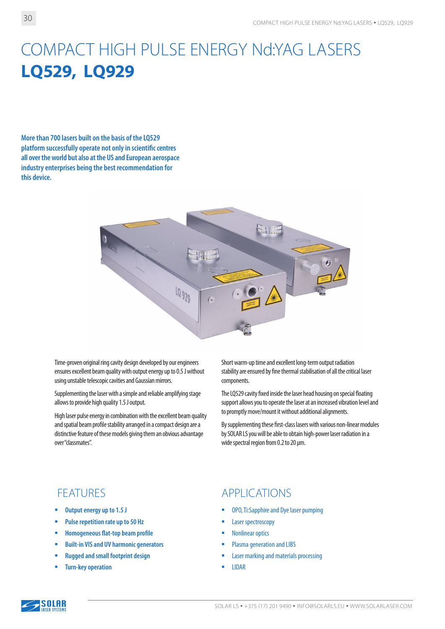# COMPACT HIGH PULSE ENERGY Nd:YAG LASERS **LQ529, LQ929**

**More than 700 lasers built on the basis of the LQ529 platform successfully operate not only in scientific centres all over the world but also at the US and European aerospace industry enterprises being the best recommendation for this device.**



Time-proven original ring cavity design developed by our engineers ensures excellent beam quality with output energy up to 0.5 J without using unstable telescopic cavities and Gaussian mirrors.

Supplementing the laser with a simple and reliable amplifying stage allows to provide high quality 1.5 J output.

High laser pulse energy in combination with the excellent beam quality and spatial beam profile stability arranged in a compact design are a distinctive feature of these models giving them an obvious advantage over "classmates".

Short warm-up time and excellent long-term output radiation stability are ensured by fine thermal stabilisation of all the critical laser components.

The LQ529 cavity fixed inside the laser head housing on special floating support allows you to operate the laser at an increased vibration level and to promptly move/mount it without additional alignments.

By supplementing these first-class lasers with various non-linear modules by SOLAR LS you will be able to obtain high-power laser radiation in a wide spectral region from 0.2 to 20 µm.

- **Output energy up to 1.5 J**
- **Pulse repetition rate up to 50 Hz**
- **Homogeneous flat-top beam profile**
- **Built-in VIS and UV harmonic generators**
- **Rugged and small footprint design**
- **Turn-key operation**

#### FEATURES APPLICATIONS

- OPO, Ti:Sapphire and Dye laser pumping
- Laser spectroscopy
- Nonlinear optics
- Plasma generation and LIBS
- Laser marking and materials processing
- $\blacksquare$  IIDAR